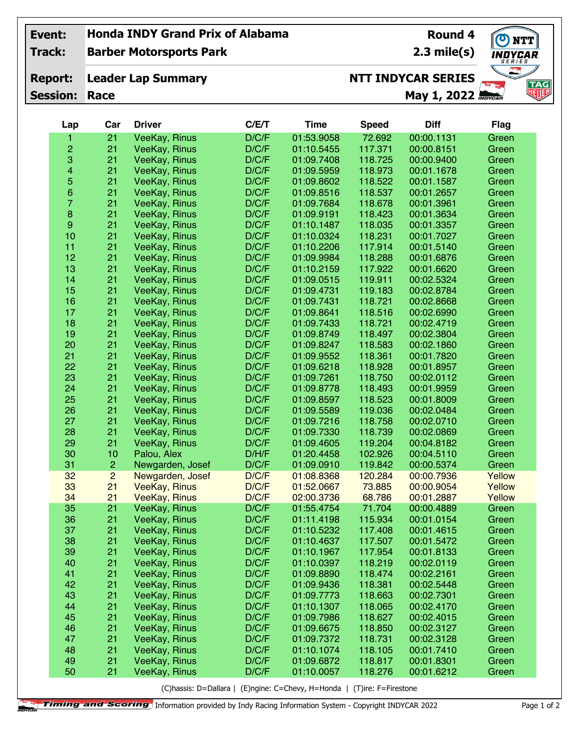| Event:          | <b>Honda INDY Grand Prix of Alabama</b><br><b>Round 4</b> |                                |       |             |              |                           |                   | O NTT           |
|-----------------|-----------------------------------------------------------|--------------------------------|-------|-------------|--------------|---------------------------|-------------------|-----------------|
| Track:          |                                                           | <b>Barber Motorsports Park</b> |       |             |              | $2.3$ mile(s)             | INDYCAR<br>SERIES |                 |
| <b>Report:</b>  | <b>Leader Lap Summary</b>                                 |                                |       |             |              | <b>NTT INDYCAR SERIES</b> |                   |                 |
| <b>Session:</b> | Race                                                      |                                |       |             |              | May 1, 2022 INDYCAR       | $\frac{1}{2}$     | <b>TAG</b><br>地 |
|                 |                                                           |                                |       |             |              |                           |                   |                 |
| Lap             | Car                                                       | <b>Driver</b>                  | C/E/T | <b>Time</b> | <b>Speed</b> | <b>Diff</b>               | <b>Flag</b>       |                 |
| 1               | 21                                                        | VeeKay, Rinus                  | D/C/F | 01:53.9058  | 72.692       | 00:00.1131                | Green             |                 |
| $\overline{c}$  | 21                                                        | VeeKay, Rinus                  | D/C/F | 01:10.5455  | 117.371      | 00:00.8151                | Green             |                 |
| 3               | 21                                                        | VeeKay, Rinus                  | D/C/F | 01:09.7408  | 118.725      | 00:00.9400                | Green             |                 |
| 4               | 21                                                        | VeeKay, Rinus                  | D/C/F | 01:09.5959  | 118.973      | 00:01.1678                | Green             |                 |
| 5               | 21                                                        | VeeKay, Rinus                  | D/C/F | 01:09.8602  | 118.522      | 00:01.1587                | Green             |                 |
| 6               | 21                                                        | VeeKay, Rinus                  | D/C/F | 01:09.8516  | 118.537      | 00:01.2657                | Green             |                 |
| $\overline{7}$  | 21                                                        | VeeKay, Rinus                  | D/C/F | 01:09.7684  | 118.678      | 00:01.3961                | Green             |                 |
| 8               | 21                                                        | VeeKay, Rinus                  | D/C/F | 01:09.9191  | 118.423      | 00:01.3634                | Green             |                 |
| 9               | 21                                                        | VeeKay, Rinus                  | D/C/F | 01:10.1487  | 118.035      | 00:01.3357                | Green             |                 |
| 10              | 21                                                        | VeeKay, Rinus                  | D/C/F | 01:10.0324  | 118.231      | 00:01.7027                | Green             |                 |
| 11              | 21                                                        | VeeKay, Rinus                  | D/C/F | 01:10.2206  | 117.914      | 00:01.5140                | Green             |                 |
| 12              | 21                                                        | VeeKay, Rinus                  | D/C/F | 01:09.9984  | 118.288      | 00:01.6876                | Green             |                 |
| 13              | 21                                                        | VeeKay, Rinus                  | D/C/F | 01:10.2159  | 117.922      | 00:01.6620                | Green             |                 |
| 14              | 21                                                        | VeeKay, Rinus                  | D/C/F | 01:09.0515  | 119.911      | 00:02.5324                | Green             |                 |
| 15              | 21                                                        | VeeKay, Rinus                  | D/C/F | 01:09.4731  | 119.183      | 00:02.8784                | Green             |                 |
| 16              | 21                                                        | VeeKay, Rinus                  | D/C/F | 01:09.7431  | 118.721      | 00:02.8668                | Green             |                 |
| 17              | 21                                                        | VeeKay, Rinus                  | D/C/F | 01:09.8641  | 118.516      | 00:02.6990                | Green             |                 |
| 18              | 21                                                        | VeeKay, Rinus                  | D/C/F | 01:09.7433  | 118.721      | 00:02.4719                | Green             |                 |
| 19              | 21                                                        | VeeKay, Rinus                  | D/C/F | 01:09.8749  | 118.497      | 00:02.3804                | Green             |                 |
| 20              | 21                                                        | VeeKay, Rinus                  | D/C/F | 01:09.8247  | 118.583      | 00:02.1860                | Green             |                 |
| 21              | 21                                                        | VeeKay, Rinus                  | D/C/F | 01:09.9552  | 118.361      | 00:01.7820                | Green             |                 |
| 22              | 21                                                        | VeeKay, Rinus                  | D/C/F | 01:09.6218  | 118.928      | 00:01.8957                | Green             |                 |
| 23              | 21                                                        | VeeKay, Rinus                  | D/C/F | 01:09.7261  | 118.750      | 00:02.0112                | Green             |                 |
| 24              | 21                                                        | VeeKay, Rinus                  | D/C/F | 01:09.8778  | 118.493      | 00:01.9959                | Green             |                 |
| 25              | 21                                                        | VeeKay, Rinus                  | D/C/F | 01:09.8597  | 118.523      | 00:01.8009                | Green             |                 |
| 26              | 21                                                        | VeeKay, Rinus                  | D/C/F | 01:09.5589  | 119.036      | 00:02.0484                | Green             |                 |
| 27              | 21                                                        | VeeKay, Rinus                  | D/C/F | 01:09.7216  | 118.758      | 00:02.0710                | Green             |                 |
| 28              | 21                                                        | VeeKay, Rinus                  | D/C/F | 01:09.7330  | 118.739      | 00:02.0869                | Green             |                 |
| 29              | 21                                                        | VeeKay, Rinus                  | D/C/F | 01:09.4605  | 119.204      | 00:04.8182                | Green             |                 |
| 30              | 10                                                        | Palou, Alex                    | D/H/F | 01:20.4458  | 102.926      | 00:04.5110                | Green             |                 |
| 31              | $\overline{c}$                                            | Newgarden, Josef               | D/C/F | 01:09.0910  | 119.842      | 00:00.5374                | Green             |                 |
| 32              | $\overline{c}$                                            | Newgarden, Josef               | D/C/F | 01:08.8368  | 120.284      | 00:00.7936                | Yellow            |                 |
| 33              | 21                                                        | <b>VeeKay, Rinus</b>           | D/C/F | 01:52.0667  | 73.885       | 00:00.9054                | Yellow            |                 |
| 34              | 21                                                        | <b>VeeKay, Rinus</b>           | D/C/F | 02:00.3736  | 68.786       | 00:01.2887                | Yellow            |                 |
| 35              | 21                                                        |                                | D/C/F | 01:55.4754  | 71.704       | 00:00.4889                | Green             |                 |
| 36              |                                                           | <b>VeeKay, Rinus</b>           |       |             |              |                           |                   |                 |
|                 | 21                                                        | VeeKay, Rinus                  | D/C/F | 01:11.4198  | 115.934      | 00:01.0154                | Green             |                 |
| 37              | 21                                                        | VeeKay, Rinus                  | D/C/F | 01:10.5232  | 117.408      | 00:01.4615                | Green             |                 |
| 38              | 21                                                        | VeeKay, Rinus                  | D/C/F | 01:10.4637  | 117.507      | 00:01.5472                | Green             |                 |
| 39              | 21                                                        | VeeKay, Rinus                  | D/C/F | 01:10.1967  | 117.954      | 00:01.8133                | Green             |                 |
| 40              | 21                                                        | VeeKay, Rinus                  | D/C/F | 01:10.0397  | 118.219      | 00:02.0119                | Green             |                 |
| 41              | 21                                                        | VeeKay, Rinus                  | D/C/F | 01:09.8890  | 118.474      | 00:02.2161                | Green             |                 |
| 42              | 21                                                        | VeeKay, Rinus                  | D/C/F | 01:09.9436  | 118.381      | 00:02.5448                | Green             |                 |
| 43              | 21                                                        | VeeKay, Rinus                  | D/C/F | 01:09.7773  | 118.663      | 00:02.7301                | Green             |                 |
| 44              | 21                                                        | VeeKay, Rinus                  | D/C/F | 01:10.1307  | 118.065      | 00:02.4170                | Green             |                 |
| 45              | 21                                                        | VeeKay, Rinus                  | D/C/F | 01:09.7986  | 118.627      | 00:02.4015                | Green             |                 |
| 46              | 21                                                        | VeeKay, Rinus                  | D/C/F | 01:09.6675  | 118.850      | 00:02.3127                | Green             |                 |
| 47              | 21                                                        | VeeKay, Rinus                  | D/C/F | 01:09.7372  | 118.731      | 00:02.3128                | Green             |                 |
| 48              | 21                                                        | <b>VeeKay, Rinus</b>           | D/C/F | 01:10.1074  | 118.105      | 00:01.7410                | Green             |                 |

(C)hassis: D=Dallara | (E)ngine: C=Chevy, H=Honda | (T)ire: F=Firestone

21 VeeKay, Rinus D/C/F 01:09.6872 118.817 00:01.8301 Green

21 VeeKay, Rinus D/C/F<br>21 VeeKay, Rinus D/C/F

VeeKay, Rinus